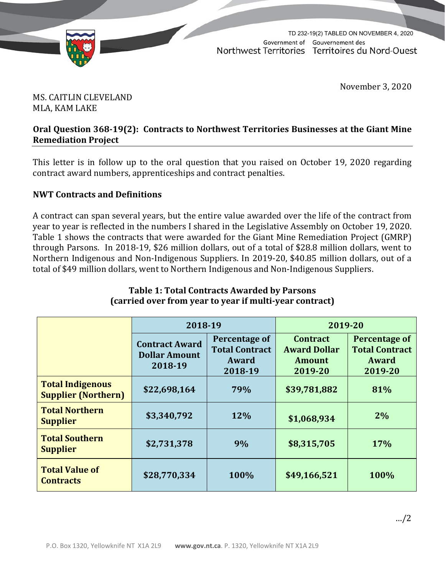

TD 232-19(2) TABLED ON NOVEMBER 4, 2020Government of Gouvernement des Northwest Territories Territoires du Nord-Ouest

November 3, 2020

# MS. CAITLIN CLEVELAND MLA, KAM LAKE

### **Oral Question 368-19(2): Contracts to Northwest Territories Businesses at the Giant Mine Remediation Project**

This letter is in follow up to the oral question that you raised on October 19, 2020 regarding contract award numbers, apprenticeships and contract penalties.

# **NWT Contracts and Definitions**

A contract can span several years, but the entire value awarded over the life of the contract from year to year is reflected in the numbers I shared in the Legislative Assembly on October 19, 2020. Table 1 shows the contracts that were awarded for the Giant Mine Remediation Project (GMRP) through Parsons. In 2018-19, \$26 million dollars, out of a total of \$28.8 million dollars, went to Northern Indigenous and Non-Indigenous Suppliers. In 2019-20, \$40.85 million dollars, out of a total of \$49 million dollars, went to Northern Indigenous and Non-Indigenous Suppliers.

|                                                       | 2018-19                                                  |                                                            | 2019-20                                                            |                                                            |
|-------------------------------------------------------|----------------------------------------------------------|------------------------------------------------------------|--------------------------------------------------------------------|------------------------------------------------------------|
|                                                       | <b>Contract Award</b><br><b>Dollar Amount</b><br>2018-19 | Percentage of<br><b>Total Contract</b><br>Award<br>2018-19 | <b>Contract</b><br><b>Award Dollar</b><br><b>Amount</b><br>2019-20 | Percentage of<br><b>Total Contract</b><br>Award<br>2019-20 |
| <b>Total Indigenous</b><br><b>Supplier (Northern)</b> | \$22,698,164                                             | 79%                                                        | \$39,781,882                                                       | 81%                                                        |
| <b>Total Northern</b><br><b>Supplier</b>              | \$3,340,792                                              | 12%                                                        | \$1,068,934                                                        | $2\%$                                                      |
| <b>Total Southern</b><br><b>Supplier</b>              | \$2,731,378                                              | 9%                                                         | \$8,315,705                                                        | 17%                                                        |
| <b>Total Value of</b><br><b>Contracts</b>             | \$28,770,334                                             | 100%                                                       | \$49,166,521                                                       | 100%                                                       |

#### **Table 1: Total Contracts Awarded by Parsons (carried over from year to year if multi-year contract)**

…/2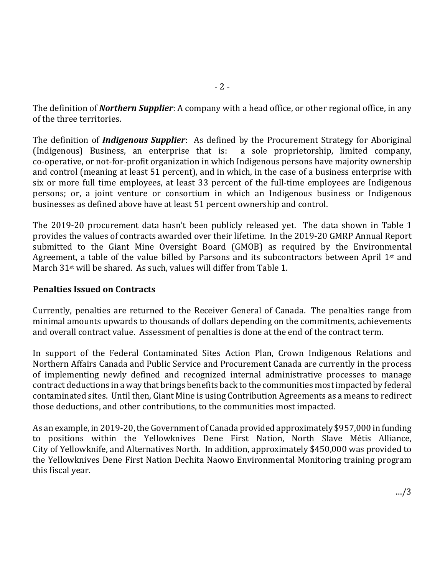The definition of *Northern Supplier*: A company with a head office, or other regional office, in any of the three territories.

The definition of *Indigenous Supplier*: As defined by the Procurement Strategy for Aboriginal  $(Indigenous)$  Business, an enterprise that is: co-operative, or not-for-profit organization in which Indigenous persons have majority ownership and control (meaning at least 51 percent), and in which, in the case of a business enterprise with six or more full time employees, at least 33 percent of the full-time employees are Indigenous persons; or, a joint venture or consortium in which an Indigenous business or Indigenous businesses as defined above have at least 51 percent ownership and control.

The 2019-20 procurement data hasn't been publicly released yet. The data shown in Table 1 provides the values of contracts awarded over their lifetime. In the 2019-20 GMRP Annual Report submitted to the Giant Mine Oversight Board (GMOB) as required by the Environmental Agreement, a table of the value billed by Parsons and its subcontractors between April 1<sup>st</sup> and March 31<sup>st</sup> will be shared. As such, values will differ from Table 1.

## **Penalties Issued on Contracts**

Currently, penalties are returned to the Receiver General of Canada. The penalties range from minimal amounts upwards to thousands of dollars depending on the commitments, achievements and overall contract value. Assessment of penalties is done at the end of the contract term.

In support of the Federal Contaminated Sites Action Plan, Crown Indigenous Relations and Northern Affairs Canada and Public Service and Procurement Canada are currently in the process of implementing newly defined and recognized internal administrative processes to manage contract deductions in a way that brings benefits back to the communities most impacted by federal contaminated sites. Until then, Giant Mine is using Contribution Agreements as a means to redirect those deductions, and other contributions, to the communities most impacted.

As an example, in 2019-20, the Government of Canada provided approximately \$957,000 in funding to positions within the Yellowknives Dene First Nation, North Slave Métis Alliance, City of Yellowknife, and Alternatives North. In addition, approximately \$450,000 was provided to the Yellowknives Dene First Nation Dechita Naowo Environmental Monitoring training program this fiscal year.